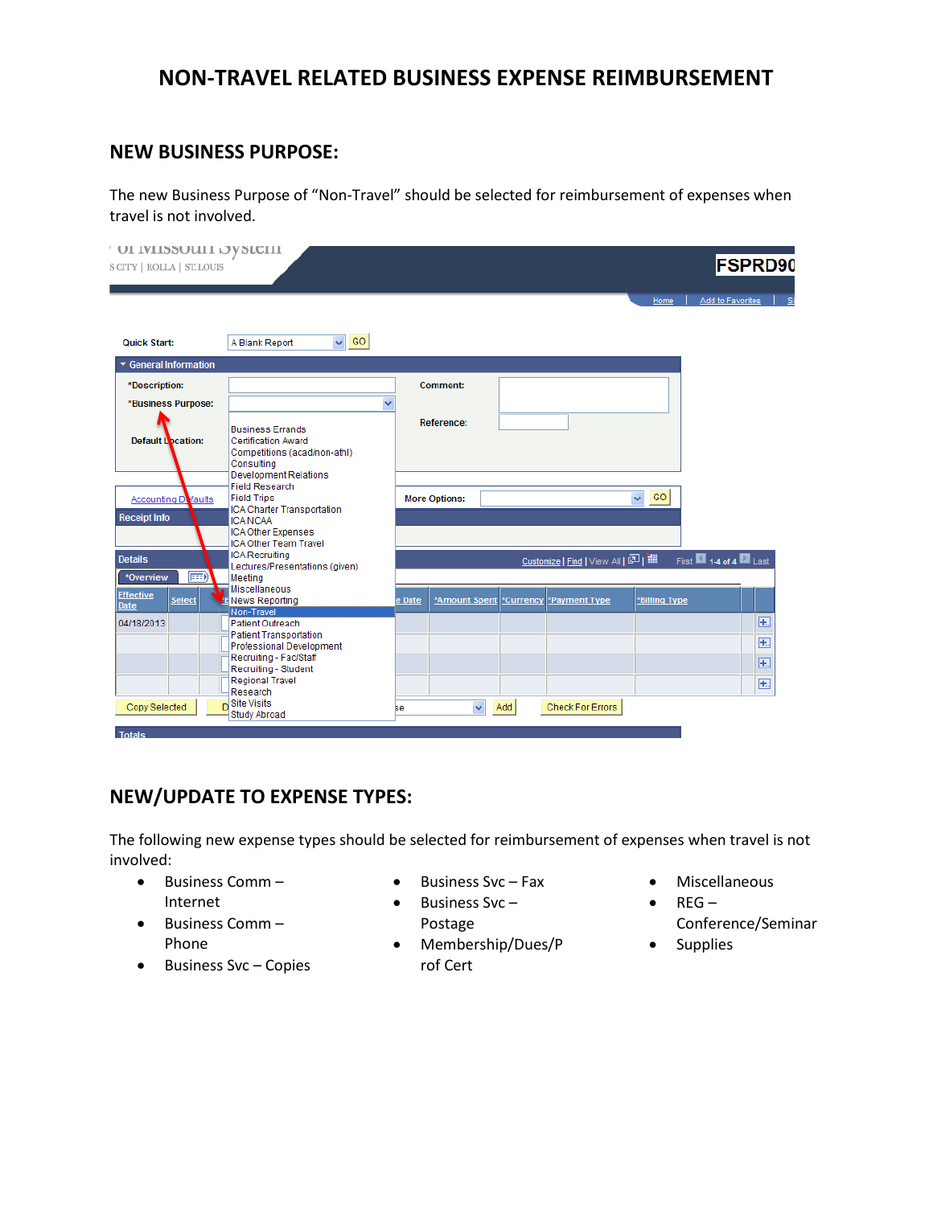# **NON-TRAVEL RELATED BUSINESS EXPENSE REIMBURSEMENT**

### **NEW BUSINESS PURPOSE:**

The new Business Purpose of "Non‐Travel" should be selected for reimbursement of expenses when travel is not involved.

| OT IMTPPOMIT OVPICITI<br><b>SCITY   ROLLA   ST.LOUIS</b> |                                                                                                                                                                                           |        |                      |           |                                  | Home                          | <b>FSPRD90</b><br>Add to Favorites |             |
|----------------------------------------------------------|-------------------------------------------------------------------------------------------------------------------------------------------------------------------------------------------|--------|----------------------|-----------|----------------------------------|-------------------------------|------------------------------------|-------------|
| <b>Quick Start:</b>                                      | $\vee$ GO<br>A Blank Report                                                                                                                                                               |        |                      |           |                                  |                               |                                    |             |
| ▼ General Information<br>*Description:                   |                                                                                                                                                                                           |        | <b>Comment:</b>      |           |                                  |                               |                                    |             |
| *Business Purpose:<br><b>Default Location:</b>           | v<br><b>Business Errands</b><br><b>Certification Award</b><br>Competitions (acad/non-athl)<br>Consulting                                                                                  |        | Reference:           |           |                                  |                               |                                    |             |
| Accounting Dafaults<br><b>Receipt Info</b>               | <b>Development Relations</b><br><b>Field Research</b><br><b>Field Trips</b><br>ICA Charter Transportation<br><b>ICA NCAA</b><br><b>ICA Other Expenses</b><br><b>ICA Other Team Travel</b> |        | <b>More Options:</b> |           |                                  | GO<br>$\overline{\mathbf{v}}$ |                                    |             |
| <b>Details</b><br>⊞∋<br>*Overview                        | <b>ICA Recruiting</b><br>Lectures/Presentations (given)<br>Meeting                                                                                                                        |        |                      |           | Customize   Find   View All   조미 |                               | First 14 of 4 2 Last               |             |
| <b>Effective</b><br>Select<br><b>Date</b>                | Miscellaneous<br>ENews Reporting                                                                                                                                                          | e Date | *Amount Spent        | *Currency | *Payment Type                    | *Billing Type                 |                                    |             |
| 04/18/2013                                               | Non-Travel<br><b>Patient Outreach</b>                                                                                                                                                     |        |                      |           |                                  |                               |                                    | <b>F.</b>   |
|                                                          | <b>Patient Transportation</b><br>Professional Development                                                                                                                                 |        |                      |           |                                  |                               |                                    | $+$         |
|                                                          | Recruiting - Fac/Staff<br>Recruiting - Student                                                                                                                                            |        |                      |           |                                  |                               |                                    | $\boxed{+}$ |
|                                                          | <b>Regional Travel</b><br>Research                                                                                                                                                        |        |                      |           |                                  |                               |                                    | $+$         |
| Copy Selected                                            | <sub>D</sub> Site Visits<br>Study Abroad                                                                                                                                                  | ве     | $\checkmark$         | Add       | <b>Check For Errors</b>          |                               |                                    |             |

## **NEW/UPDATE TO EXPENSE TYPES:**

The following new expense types should be selected for reimbursement of expenses when travel is not involved:

- Business Comm Internet
- Business Comm Phone
- Business Svc Copies
- Business Svc Fax
- Business Svc Postage
- Membership/Dues/P Supplies rof Cert
- Miscellaneous
	- $\bullet$  REG
		- Conference/Seminar
		-